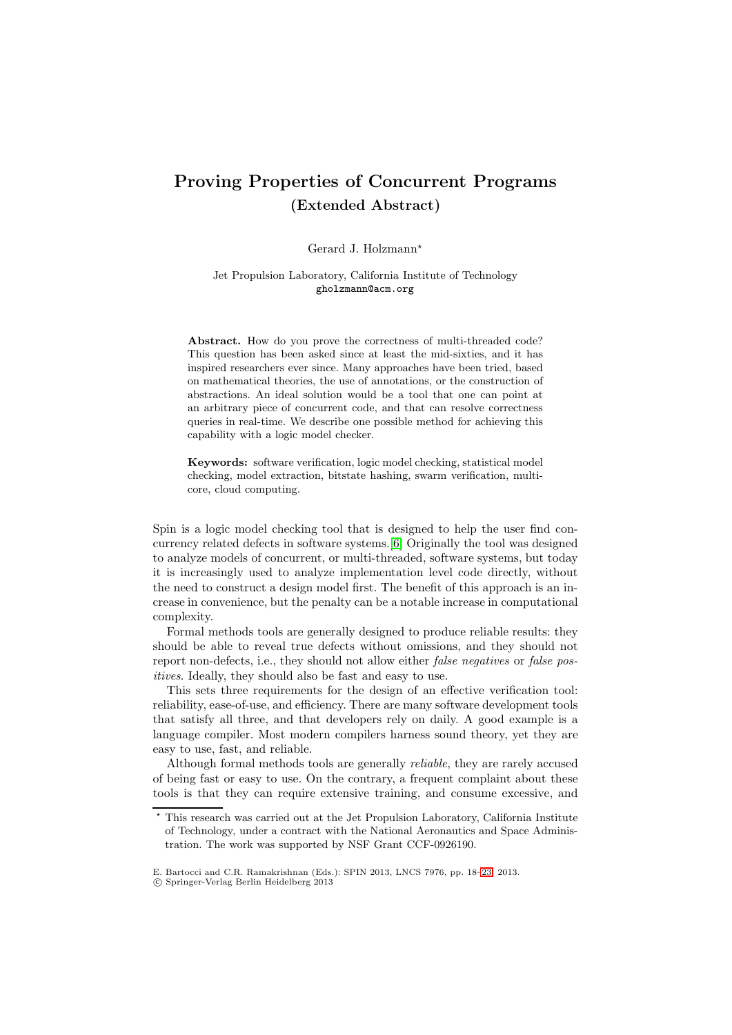## **Proving Properties of Concurrent Programs (Extended Abstract)**

Gerard J. Holzmann-

Jet Propulsion Laboratory, California Institute of Technology gholzmann@acm.org

**Abstract.** How do you prove the correctness of multi-threaded code? This question has been asked since at least the mid-sixties, and it has inspired researchers ever since. Many approaches have been tried, based on mathematical theories, the use of annotations, or the construction of abstractions. An ideal solution would be a tool that one can point at an arbitrary piece of concurrent code, and that can resolve correctness queries in real-time. We describe one possible method for achieving this capability with a logic model checker.

**Keywords:** software verification, logic model checking, statistical model checking, model extraction, bitstate hashing, swarm verification, multicore, cloud computing.

Spin is a logic model checking tool that is designed to help the user find concurrency related defects in software systems.[\[6\]](#page-5-0) Originally the tool was designed to analyze models of concurrent, or multi-threaded, software systems, but today it is increasingly used to analyze implementation level code directly, without the need to construct a design model first. The benefit of this approach is an increase in convenience, but the penalty can be a notable increase in computational complexity.

Formal methods tools are generally designed to produce reliable results: they should be able to reveal true defects without omissions, and they should not report non-defects, i.e., they should not allow either *false negatives* or *false positives*. Ideally, they should also be fast and easy to use.

This sets three requirements for the design of an effective verification tool: reliability, ease-of-use, and efficiency. There are many software development tools that satisfy all three, and that developers rely on daily. A good example is a language compiler. Most modern compilers harness sound theory, yet they are easy to use, fast, and reliable.

Although formal methods tools are generally *reliable*, they are rarely accused of being fast or easy to use. On the contrary, a frequent complaint about these tools is that they can require extensive training, and consume excessive, and

 $\star$  This research was carried out at the Jet Propulsion Laboratory, California Institute of Technology, under a contract with the National Aeronautics and Space Administration. The work was supported by NSF Grant CCF-0926190.

E. Bartocci and C.R. Ramakrishnan (Eds.): SPIN 2013, LNCS 7976, pp. 18[–23,](#page-5-1) 2013.

<sup>-</sup>c Springer-Verlag Berlin Heidelberg 2013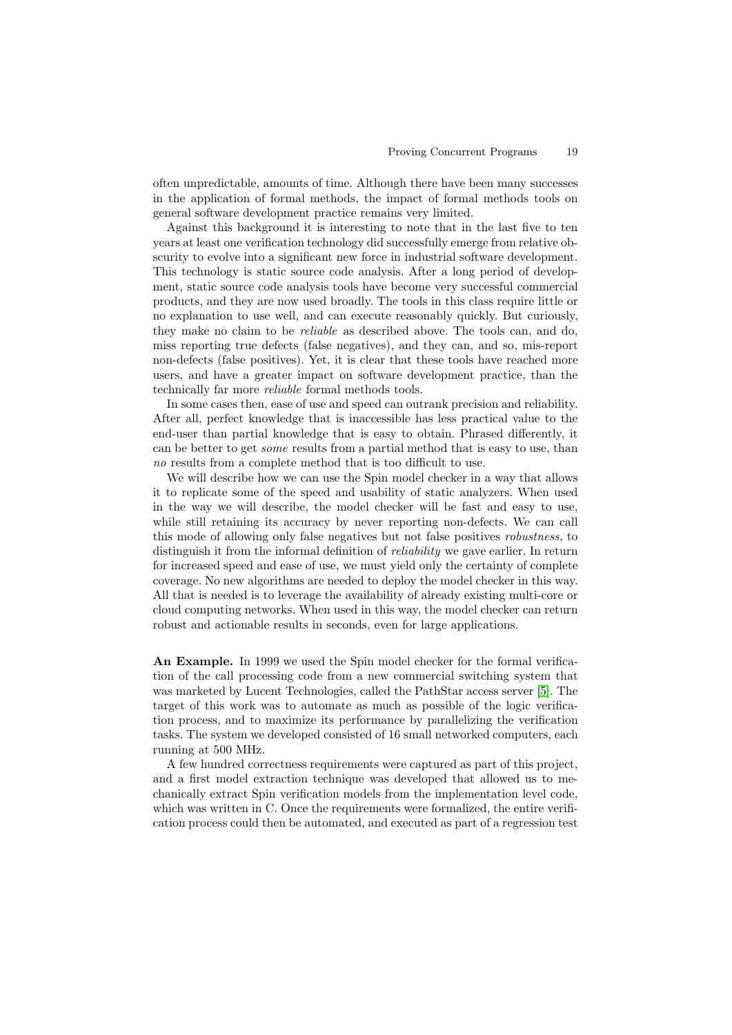often unpredictable, amounts of time. Although there have been many successes in the application of formal methods, the impact of formal methods tools on general software development practice remains very limited.

Against this background it is interesting to note that in the last five to ten years at least one verification technology did successfully emerge from relative obscurity to evolve into a significant new force in industrial software development. This technology is static source code analysis. After a long period of development, static source code analysis tools have become very successful commercial products, and they are now used broadly. The tools in this class require little or no explanation to use well, and can execute reasonably quickly. But curiously, they make no claim to be *reliable* as described above. The tools can, and do, miss reporting true defects (false negatives), and they can, and so, mis-report non-defects (false positives). Yet, it is clear that these tools have reached more users, and have a greater impact on software development practice, than the technically far more *reliable* formal methods tools.

In some cases then, ease of use and speed can outrank precision and reliability. After all, perfect knowledge that is inaccessible has less practical value to the end-user than partial knowledge that is easy to obtain. Phrased differently, it can be better to get *some* results from a partial method that is easy to use, than *no* results from a complete method that is too difficult to use.

We will describe how we can use the Spin model checker in a way that allows it to replicate some of the speed and usability of static analyzers. When used in the way we will describe, the model checker will be fast and easy to use, while still retaining its accuracy by never reporting non-defects. We can call this mode of allowing only false negatives but not false positives *robustness*, to distinguish it from the informal definition of *reliability* we gave earlier. In return for increased speed and ease of use, we must yield only the certainty of complete coverage. No new algorithms are needed to deploy the model checker in this way. All that is needed is to leverage the availability of already existing multi-core or cloud computing networks. When used in this way, the model checker can return robust and actionable results in seconds, even for large applications.

**An Example.** In 1999 we used the Spin model checker for the formal verification of the call processing code from a new commercial switching system that was marketed by Lucent Technologies, called the PathStar access server [\[5\]](#page-5-2). The target of this work was to automate as much as possible of the logic verification process, and to maximize its performance by parallelizing the verification tasks. The system we developed consisted of 16 small networked computers, each running at 500 MHz.

A few hundred correctness requirements were captured as part of this project, and a first model extraction technique was developed that allowed us to mechanically extract Spin verification models from the implementation level code, which was written in C. Once the requirements were formalized, the entire verification process could then be automated, and executed as part of a regression test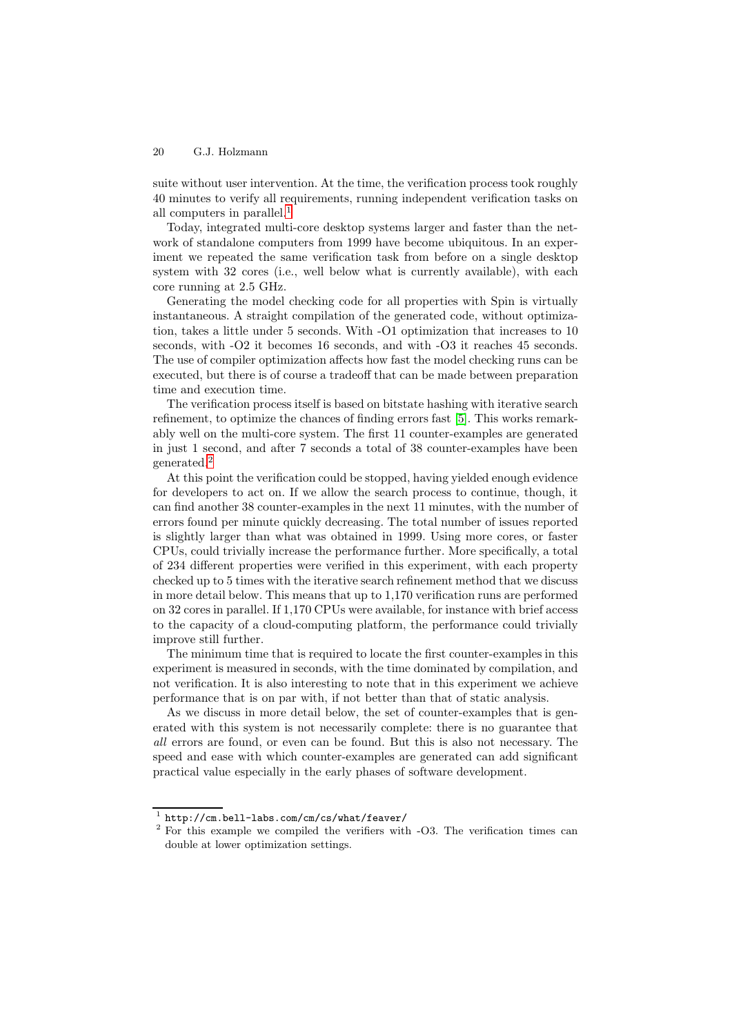## 20 G.J. Holzmann

suite without user intervention. At the time, the verification process took roughly 40 minutes to verify all requirements, running independent verification tasks on all computers in parallel.[1](#page-2-0)

Today, integrated multi-core desktop systems larger and faster than the network of standalone computers from 1999 have become ubiquitous. In an experiment we repeated the same verification task from before on a single desktop system with 32 cores (i.e., well below what is currently available), with each core running at 2.5 GHz.

Generating the model checking code for all properties with Spin is virtually instantaneous. A straight compilation of the generated code, without optimization, takes a little under 5 seconds. With -O1 optimization that increases to 10 seconds, with -O2 it becomes 16 seconds, and with -O3 it reaches 45 seconds. The use of compiler optimization affects how fast the model checking runs can be executed, but there is of course a tradeoff that can be made between preparation time and execution time.

The verification process itself is based on bitstate hashing with iterative search refinement, to optimize the chances of finding errors fast [\[5\]](#page-5-2). This works remarkably well on the multi-core system. The first 11 counter-examples are generated in just 1 second, and after 7 seconds a total of 38 counter-examples have been generated.[2](#page-2-1)

At this point the verification could be stopped, having yielded enough evidence for developers to act on. If we allow the search process to continue, though, it can find another 38 counter-examples in the next 11 minutes, with the number of errors found per minute quickly decreasing. The total number of issues reported is slightly larger than what was obtained in 1999. Using more cores, or faster CPUs, could trivially increase the performance further. More specifically, a total of 234 different properties were verified in this experiment, with each property checked up to 5 times with the iterative search refinement method that we discuss in more detail below. This means that up to 1,170 verification runs are performed on 32 cores in parallel. If 1,170 CPUs were available, for instance with brief access to the capacity of a cloud-computing platform, the performance could trivially improve still further.

The minimum time that is required to locate the first counter-examples in this experiment is measured in seconds, with the time dominated by compilation, and not verification. It is also interesting to note that in this experiment we achieve performance that is on par with, if not better than that of static analysis.

As we discuss in more detail below, the set of counter-examples that is generated with this system is not necessarily complete: there is no guarantee that *all* errors are found, or even can be found. But this is also not necessary. The speed and ease with which counter-examples are generated can add significant practical value especially in the early phases of software development.

http://cm.bell-labs.com/cm/cs/what/feaver/

<span id="page-2-1"></span><span id="page-2-0"></span><sup>2</sup> For this example we compiled the verifiers with -O3. The verification times can double at lower optimization settings.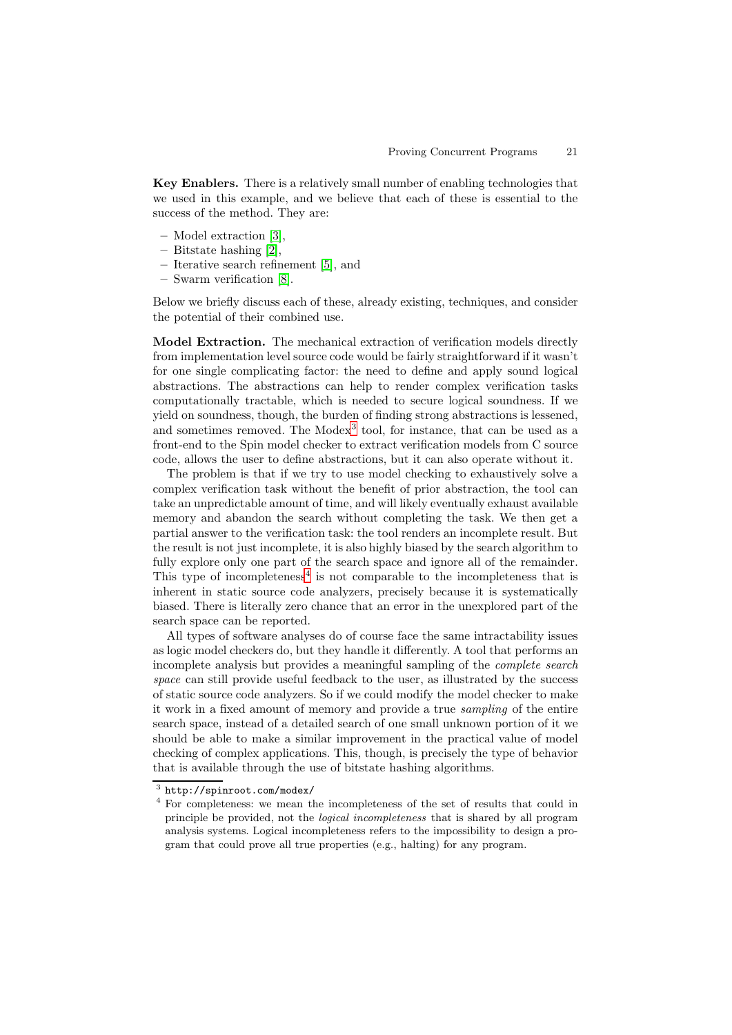**Key Enablers.** There is a relatively small number of enabling technologies that we used in this example, and we believe that each of these is essential to the success of the method. They are:

- **–** Model extraction [\[3\]](#page-5-3),
- **–** Bitstate hashing [\[2\]](#page-5-4),
- **–** Iterative search refinement [\[5\]](#page-5-2), and
- **–** Swarm verification [\[8\]](#page-5-5).

Below we briefly discuss each of these, already existing, techniques, and consider the potential of their combined use.

**Model Extraction.** The mechanical extraction of verification models directly from implementation level source code would be fairly straightforward if it wasn't for one single complicating factor: the need to define and apply sound logical abstractions. The abstractions can help to render complex verification tasks computationally tractable, which is needed to secure logical soundness. If we yield on soundness, though, the burden of finding strong abstractions is lessened, and sometimes removed. The Modex<sup>[3](#page-3-0)</sup> tool, for instance, that can be used as a front-end to the Spin model checker to extract verification models from C source code, allows the user to define abstractions, but it can also operate without it.

The problem is that if we try to use model checking to exhaustively solve a complex verification task without the benefit of prior abstraction, the tool can take an unpredictable amount of time, and will likely eventually exhaust available memory and abandon the search without completing the task. We then get a partial answer to the verification task: the tool renders an incomplete result. But the result is not just incomplete, it is also highly biased by the search algorithm to fully explore only one part of the search space and ignore all of the remainder. This type of incompleteness<sup>[4](#page-3-1)</sup> is not comparable to the incompleteness that is inherent in static source code analyzers, precisely because it is systematically biased. There is literally zero chance that an error in the unexplored part of the search space can be reported.

All types of software analyses do of course face the same intractability issues as logic model checkers do, but they handle it differently. A tool that performs an incomplete analysis but provides a meaningful sampling of the *complete search space* can still provide useful feedback to the user, as illustrated by the success of static source code analyzers. So if we could modify the model checker to make it work in a fixed amount of memory and provide a true *sampling* of the entire search space, instead of a detailed search of one small unknown portion of it we should be able to make a similar improvement in the practical value of model checking of complex applications. This, though, is precisely the type of behavior that is available through the use of bitstate hashing algorithms.

<sup>3</sup> http://spinroot.com/modex/

<span id="page-3-1"></span><span id="page-3-0"></span><sup>&</sup>lt;sup>4</sup> For completeness: we mean the incompleteness of the set of results that could in principle be provided, not the *logical incompleteness* that is shared by all program analysis systems. Logical incompleteness refers to the impossibility to design a program that could prove all true properties (e.g., halting) for any program.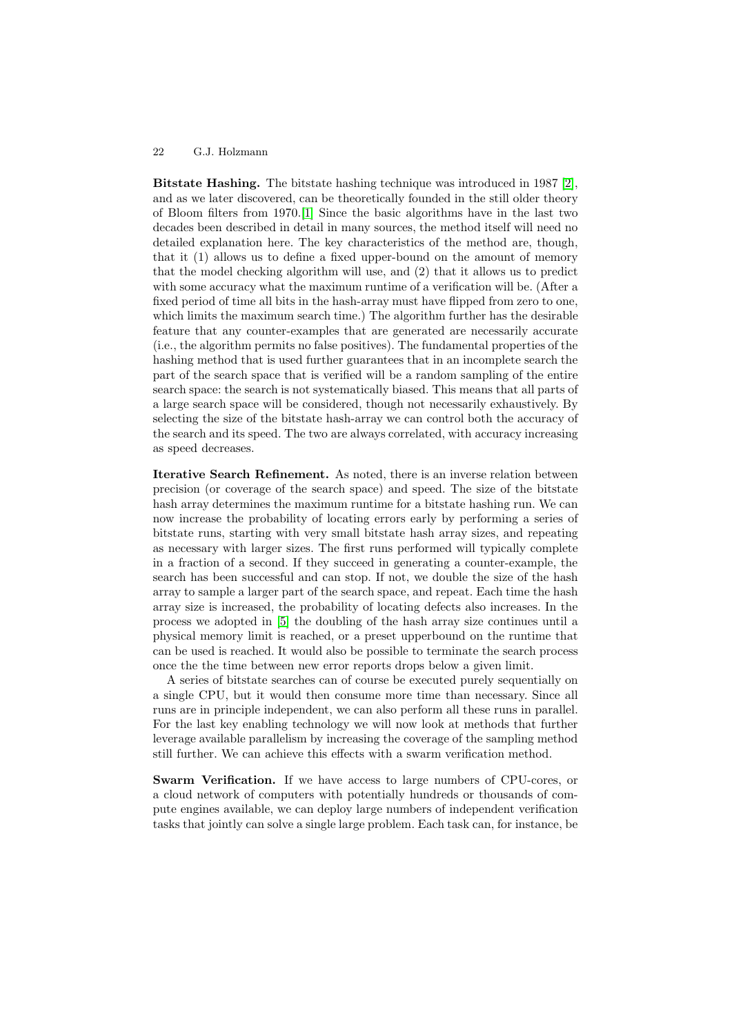## 22 G.J. Holzmann

**Bitstate Hashing.** The bitstate hashing technique was introduced in 1987 [\[2\]](#page-5-4), and as we later discovered, can be theoretically founded in the still older theory of Bloom filters from 1970.[\[1\]](#page-5-6) Since the basic algorithms have in the last two decades been described in detail in many sources, the method itself will need no detailed explanation here. The key characteristics of the method are, though, that it (1) allows us to define a fixed upper-bound on the amount of memory that the model checking algorithm will use, and (2) that it allows us to predict with some accuracy what the maximum runtime of a verification will be. (After a fixed period of time all bits in the hash-array must have flipped from zero to one, which limits the maximum search time.) The algorithm further has the desirable feature that any counter-examples that are generated are necessarily accurate (i.e., the algorithm permits no false positives). The fundamental properties of the hashing method that is used further guarantees that in an incomplete search the part of the search space that is verified will be a random sampling of the entire search space: the search is not systematically biased. This means that all parts of a large search space will be considered, though not necessarily exhaustively. By selecting the size of the bitstate hash-array we can control both the accuracy of the search and its speed. The two are always correlated, with accuracy increasing as speed decreases.

**Iterative Search Refinement.** As noted, there is an inverse relation between precision (or coverage of the search space) and speed. The size of the bitstate hash array determines the maximum runtime for a bitstate hashing run. We can now increase the probability of locating errors early by performing a series of bitstate runs, starting with very small bitstate hash array sizes, and repeating as necessary with larger sizes. The first runs performed will typically complete in a fraction of a second. If they succeed in generating a counter-example, the search has been successful and can stop. If not, we double the size of the hash array to sample a larger part of the search space, and repeat. Each time the hash array size is increased, the probability of locating defects also increases. In the process we adopted in [\[5\]](#page-5-2) the doubling of the hash array size continues until a physical memory limit is reached, or a preset upperbound on the runtime that can be used is reached. It would also be possible to terminate the search process once the the time between new error reports drops below a given limit.

A series of bitstate searches can of course be executed purely sequentially on a single CPU, but it would then consume more time than necessary. Since all runs are in principle independent, we can also perform all these runs in parallel. For the last key enabling technology we will now look at methods that further leverage available parallelism by increasing the coverage of the sampling method still further. We can achieve this effects with a swarm verification method.

**Swarm Verification.** If we have access to large numbers of CPU-cores, or a cloud network of computers with potentially hundreds or thousands of compute engines available, we can deploy large numbers of independent verification tasks that jointly can solve a single large problem. Each task can, for instance, be